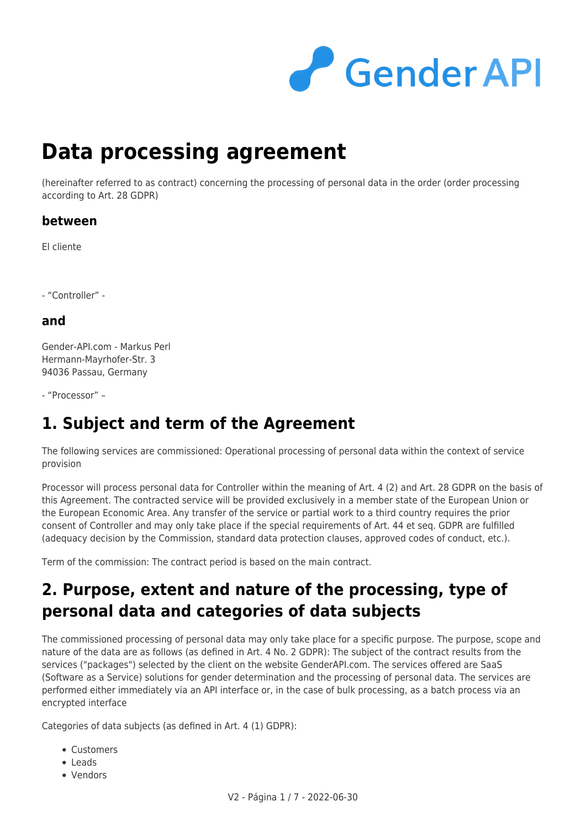

# **Data processing agreement**

(hereinafter referred to as contract) concerning the processing of personal data in the order (order processing according to Art. 28 GDPR)

#### **between**

El cliente

- "Controller" -

#### **and**

Gender-API.com - Markus Perl Hermann-Mayrhofer-Str. 3 94036 Passau, Germany

- "Processor" –

### **1. Subject and term of the Agreement**

The following services are commissioned: Operational processing of personal data within the context of service provision

Processor will process personal data for Controller within the meaning of Art. 4 (2) and Art. 28 GDPR on the basis of this Agreement. The contracted service will be provided exclusively in a member state of the European Union or the European Economic Area. Any transfer of the service or partial work to a third country requires the prior consent of Controller and may only take place if the special requirements of Art. 44 et seq. GDPR are fulfilled (adequacy decision by the Commission, standard data protection clauses, approved codes of conduct, etc.).

Term of the commission: The contract period is based on the main contract.

### **2. Purpose, extent and nature of the processing, type of personal data and categories of data subjects**

The commissioned processing of personal data may only take place for a specific purpose. The purpose, scope and nature of the data are as follows (as defined in Art. 4 No. 2 GDPR): The subject of the contract results from the services ("packages") selected by the client on the website GenderAPI.com. The services offered are SaaS (Software as a Service) solutions for gender determination and the processing of personal data. The services are performed either immediately via an API interface or, in the case of bulk processing, as a batch process via an encrypted interface

Categories of data subjects (as defined in Art. 4 (1) GDPR):

- **Customers**
- Leads
- Vendors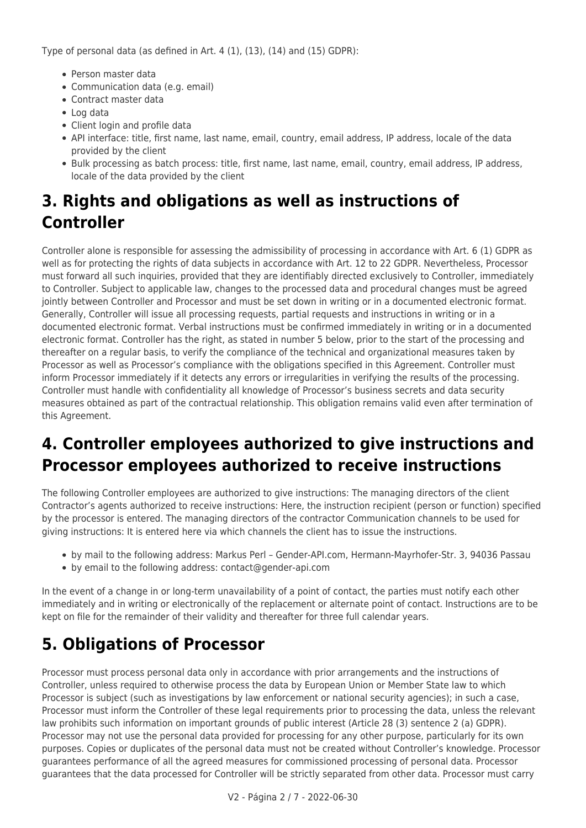Type of personal data (as defined in Art. 4 (1), (13), (14) and (15) GDPR):

- Person master data
- Communication data (e.g. email)
- Contract master data
- Log data
- Client login and profile data
- API interface: title, first name, last name, email, country, email address, IP address, locale of the data provided by the client
- Bulk processing as batch process: title, first name, last name, email, country, email address, IP address, locale of the data provided by the client

# **3. Rights and obligations as well as instructions of Controller**

Controller alone is responsible for assessing the admissibility of processing in accordance with Art. 6 (1) GDPR as well as for protecting the rights of data subjects in accordance with Art. 12 to 22 GDPR. Nevertheless, Processor must forward all such inquiries, provided that they are identifiably directed exclusively to Controller, immediately to Controller. Subject to applicable law, changes to the processed data and procedural changes must be agreed jointly between Controller and Processor and must be set down in writing or in a documented electronic format. Generally, Controller will issue all processing requests, partial requests and instructions in writing or in a documented electronic format. Verbal instructions must be confirmed immediately in writing or in a documented electronic format. Controller has the right, as stated in number 5 below, prior to the start of the processing and thereafter on a regular basis, to verify the compliance of the technical and organizational measures taken by Processor as well as Processor's compliance with the obligations specified in this Agreement. Controller must inform Processor immediately if it detects any errors or irregularities in verifying the results of the processing. Controller must handle with confidentiality all knowledge of Processor's business secrets and data security measures obtained as part of the contractual relationship. This obligation remains valid even after termination of this Agreement.

# **4. Controller employees authorized to give instructions and Processor employees authorized to receive instructions**

The following Controller employees are authorized to give instructions: The managing directors of the client Contractor's agents authorized to receive instructions: Here, the instruction recipient (person or function) specified by the processor is entered. The managing directors of the contractor Communication channels to be used for giving instructions: It is entered here via which channels the client has to issue the instructions.

- by mail to the following address: Markus Perl Gender-API.com, Hermann-Mayrhofer-Str. 3, 94036 Passau
- by email to the following address: contact@gender-api.com

In the event of a change in or long-term unavailability of a point of contact, the parties must notify each other immediately and in writing or electronically of the replacement or alternate point of contact. Instructions are to be kept on file for the remainder of their validity and thereafter for three full calendar years.

### **5. Obligations of Processor**

Processor must process personal data only in accordance with prior arrangements and the instructions of Controller, unless required to otherwise process the data by European Union or Member State law to which Processor is subject (such as investigations by law enforcement or national security agencies); in such a case, Processor must inform the Controller of these legal requirements prior to processing the data, unless the relevant law prohibits such information on important grounds of public interest (Article 28 (3) sentence 2 (a) GDPR). Processor may not use the personal data provided for processing for any other purpose, particularly for its own purposes. Copies or duplicates of the personal data must not be created without Controller's knowledge. Processor guarantees performance of all the agreed measures for commissioned processing of personal data. Processor guarantees that the data processed for Controller will be strictly separated from other data. Processor must carry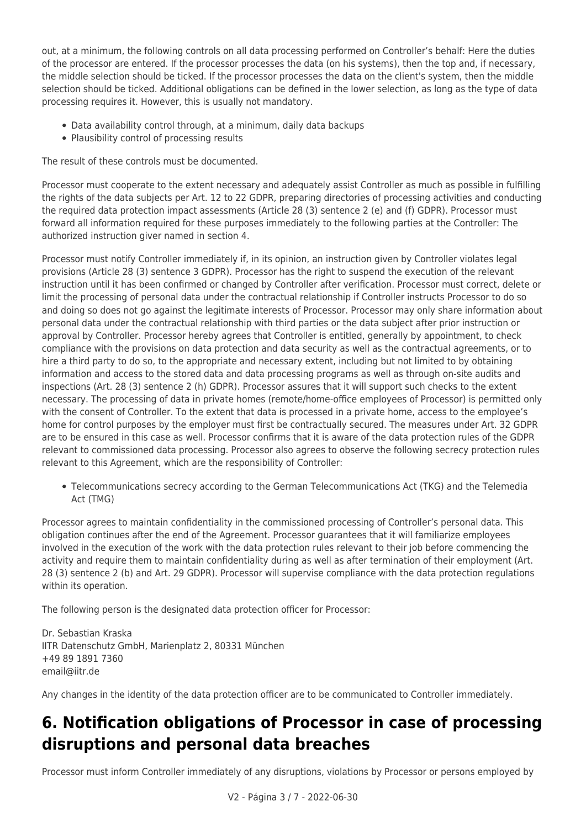out, at a minimum, the following controls on all data processing performed on Controller's behalf: Here the duties of the processor are entered. If the processor processes the data (on his systems), then the top and, if necessary, the middle selection should be ticked. If the processor processes the data on the client's system, then the middle selection should be ticked. Additional obligations can be defined in the lower selection, as long as the type of data processing requires it. However, this is usually not mandatory.

- Data availability control through, at a minimum, daily data backups
- Plausibility control of processing results

The result of these controls must be documented.

Processor must cooperate to the extent necessary and adequately assist Controller as much as possible in fulfilling the rights of the data subjects per Art. 12 to 22 GDPR, preparing directories of processing activities and conducting the required data protection impact assessments (Article 28 (3) sentence 2 (e) and (f) GDPR). Processor must forward all information required for these purposes immediately to the following parties at the Controller: The authorized instruction giver named in section 4.

Processor must notify Controller immediately if, in its opinion, an instruction given by Controller violates legal provisions (Article 28 (3) sentence 3 GDPR). Processor has the right to suspend the execution of the relevant instruction until it has been confirmed or changed by Controller after verification. Processor must correct, delete or limit the processing of personal data under the contractual relationship if Controller instructs Processor to do so and doing so does not go against the legitimate interests of Processor. Processor may only share information about personal data under the contractual relationship with third parties or the data subject after prior instruction or approval by Controller. Processor hereby agrees that Controller is entitled, generally by appointment, to check compliance with the provisions on data protection and data security as well as the contractual agreements, or to hire a third party to do so, to the appropriate and necessary extent, including but not limited to by obtaining information and access to the stored data and data processing programs as well as through on-site audits and inspections (Art. 28 (3) sentence 2 (h) GDPR). Processor assures that it will support such checks to the extent necessary. The processing of data in private homes (remote/home-office employees of Processor) is permitted only with the consent of Controller. To the extent that data is processed in a private home, access to the employee's home for control purposes by the employer must first be contractually secured. The measures under Art. 32 GDPR are to be ensured in this case as well. Processor confirms that it is aware of the data protection rules of the GDPR relevant to commissioned data processing. Processor also agrees to observe the following secrecy protection rules relevant to this Agreement, which are the responsibility of Controller:

Telecommunications secrecy according to the German Telecommunications Act (TKG) and the Telemedia Act (TMG)

Processor agrees to maintain confidentiality in the commissioned processing of Controller's personal data. This obligation continues after the end of the Agreement. Processor guarantees that it will familiarize employees involved in the execution of the work with the data protection rules relevant to their job before commencing the activity and require them to maintain confidentiality during as well as after termination of their employment (Art. 28 (3) sentence 2 (b) and Art. 29 GDPR). Processor will supervise compliance with the data protection regulations within its operation.

The following person is the designated data protection officer for Processor:

Dr. Sebastian Kraska IITR Datenschutz GmbH, Marienplatz 2, 80331 München +49 89 1891 7360 email@iitr.de

Any changes in the identity of the data protection officer are to be communicated to Controller immediately.

### **6. Notification obligations of Processor in case of processing disruptions and personal data breaches**

Processor must inform Controller immediately of any disruptions, violations by Processor or persons employed by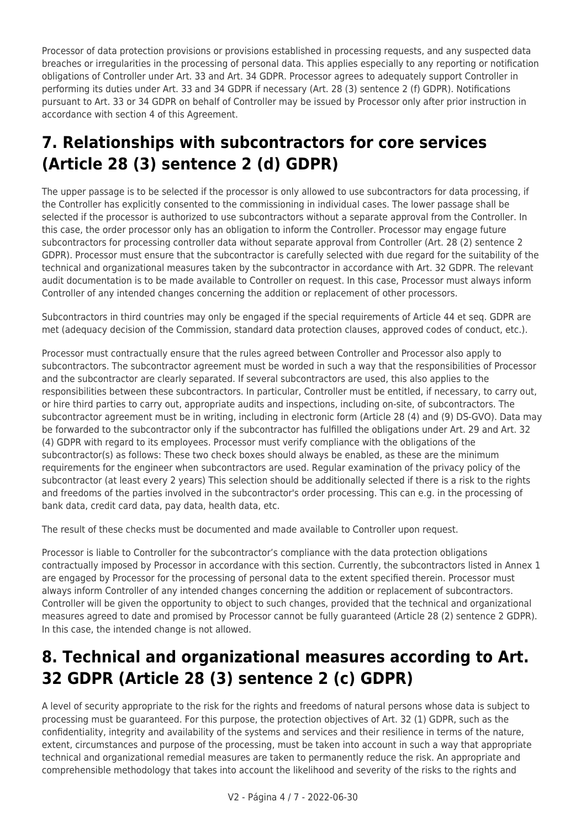Processor of data protection provisions or provisions established in processing requests, and any suspected data breaches or irregularities in the processing of personal data. This applies especially to any reporting or notification obligations of Controller under Art. 33 and Art. 34 GDPR. Processor agrees to adequately support Controller in performing its duties under Art. 33 and 34 GDPR if necessary (Art. 28 (3) sentence 2 (f) GDPR). Notifications pursuant to Art. 33 or 34 GDPR on behalf of Controller may be issued by Processor only after prior instruction in accordance with section 4 of this Agreement.

# **7. Relationships with subcontractors for core services (Article 28 (3) sentence 2 (d) GDPR)**

The upper passage is to be selected if the processor is only allowed to use subcontractors for data processing, if the Controller has explicitly consented to the commissioning in individual cases. The lower passage shall be selected if the processor is authorized to use subcontractors without a separate approval from the Controller. In this case, the order processor only has an obligation to inform the Controller. Processor may engage future subcontractors for processing controller data without separate approval from Controller (Art. 28 (2) sentence 2 GDPR). Processor must ensure that the subcontractor is carefully selected with due regard for the suitability of the technical and organizational measures taken by the subcontractor in accordance with Art. 32 GDPR. The relevant audit documentation is to be made available to Controller on request. In this case, Processor must always inform Controller of any intended changes concerning the addition or replacement of other processors.

Subcontractors in third countries may only be engaged if the special requirements of Article 44 et seq. GDPR are met (adequacy decision of the Commission, standard data protection clauses, approved codes of conduct, etc.).

Processor must contractually ensure that the rules agreed between Controller and Processor also apply to subcontractors. The subcontractor agreement must be worded in such a way that the responsibilities of Processor and the subcontractor are clearly separated. If several subcontractors are used, this also applies to the responsibilities between these subcontractors. In particular, Controller must be entitled, if necessary, to carry out, or hire third parties to carry out, appropriate audits and inspections, including on-site, of subcontractors. The subcontractor agreement must be in writing, including in electronic form (Article 28 (4) and (9) DS-GVO). Data may be forwarded to the subcontractor only if the subcontractor has fulfilled the obligations under Art. 29 and Art. 32 (4) GDPR with regard to its employees. Processor must verify compliance with the obligations of the subcontractor(s) as follows: These two check boxes should always be enabled, as these are the minimum requirements for the engineer when subcontractors are used. Regular examination of the privacy policy of the subcontractor (at least every 2 years) This selection should be additionally selected if there is a risk to the rights and freedoms of the parties involved in the subcontractor's order processing. This can e.g. in the processing of bank data, credit card data, pay data, health data, etc.

The result of these checks must be documented and made available to Controller upon request.

Processor is liable to Controller for the subcontractor's compliance with the data protection obligations contractually imposed by Processor in accordance with this section. Currently, the subcontractors listed in Annex 1 are engaged by Processor for the processing of personal data to the extent specified therein. Processor must always inform Controller of any intended changes concerning the addition or replacement of subcontractors. Controller will be given the opportunity to object to such changes, provided that the technical and organizational measures agreed to date and promised by Processor cannot be fully guaranteed (Article 28 (2) sentence 2 GDPR). In this case, the intended change is not allowed.

### **8. Technical and organizational measures according to Art. 32 GDPR (Article 28 (3) sentence 2 (c) GDPR)**

A level of security appropriate to the risk for the rights and freedoms of natural persons whose data is subject to processing must be guaranteed. For this purpose, the protection objectives of Art. 32 (1) GDPR, such as the confidentiality, integrity and availability of the systems and services and their resilience in terms of the nature, extent, circumstances and purpose of the processing, must be taken into account in such a way that appropriate technical and organizational remedial measures are taken to permanently reduce the risk. An appropriate and comprehensible methodology that takes into account the likelihood and severity of the risks to the rights and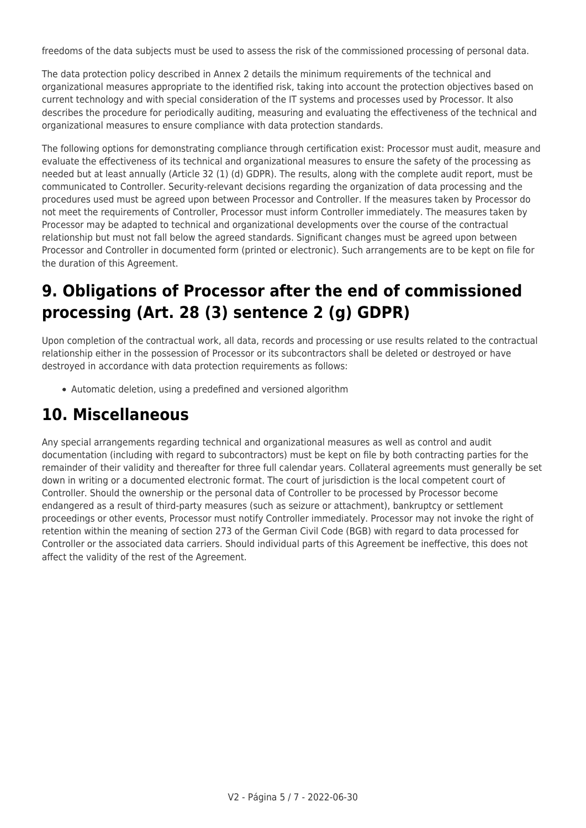freedoms of the data subjects must be used to assess the risk of the commissioned processing of personal data.

The data protection policy described in Annex 2 details the minimum requirements of the technical and organizational measures appropriate to the identified risk, taking into account the protection objectives based on current technology and with special consideration of the IT systems and processes used by Processor. It also describes the procedure for periodically auditing, measuring and evaluating the effectiveness of the technical and organizational measures to ensure compliance with data protection standards.

The following options for demonstrating compliance through certification exist: Processor must audit, measure and evaluate the effectiveness of its technical and organizational measures to ensure the safety of the processing as needed but at least annually (Article 32 (1) (d) GDPR). The results, along with the complete audit report, must be communicated to Controller. Security-relevant decisions regarding the organization of data processing and the procedures used must be agreed upon between Processor and Controller. If the measures taken by Processor do not meet the requirements of Controller, Processor must inform Controller immediately. The measures taken by Processor may be adapted to technical and organizational developments over the course of the contractual relationship but must not fall below the agreed standards. Significant changes must be agreed upon between Processor and Controller in documented form (printed or electronic). Such arrangements are to be kept on file for the duration of this Agreement.

### **9. Obligations of Processor after the end of commissioned processing (Art. 28 (3) sentence 2 (g) GDPR)**

Upon completion of the contractual work, all data, records and processing or use results related to the contractual relationship either in the possession of Processor or its subcontractors shall be deleted or destroyed or have destroyed in accordance with data protection requirements as follows:

Automatic deletion, using a predefined and versioned algorithm

### **10. Miscellaneous**

Any special arrangements regarding technical and organizational measures as well as control and audit documentation (including with regard to subcontractors) must be kept on file by both contracting parties for the remainder of their validity and thereafter for three full calendar years. Collateral agreements must generally be set down in writing or a documented electronic format. The court of jurisdiction is the local competent court of Controller. Should the ownership or the personal data of Controller to be processed by Processor become endangered as a result of third-party measures (such as seizure or attachment), bankruptcy or settlement proceedings or other events, Processor must notify Controller immediately. Processor may not invoke the right of retention within the meaning of section 273 of the German Civil Code (BGB) with regard to data processed for Controller or the associated data carriers. Should individual parts of this Agreement be ineffective, this does not affect the validity of the rest of the Agreement.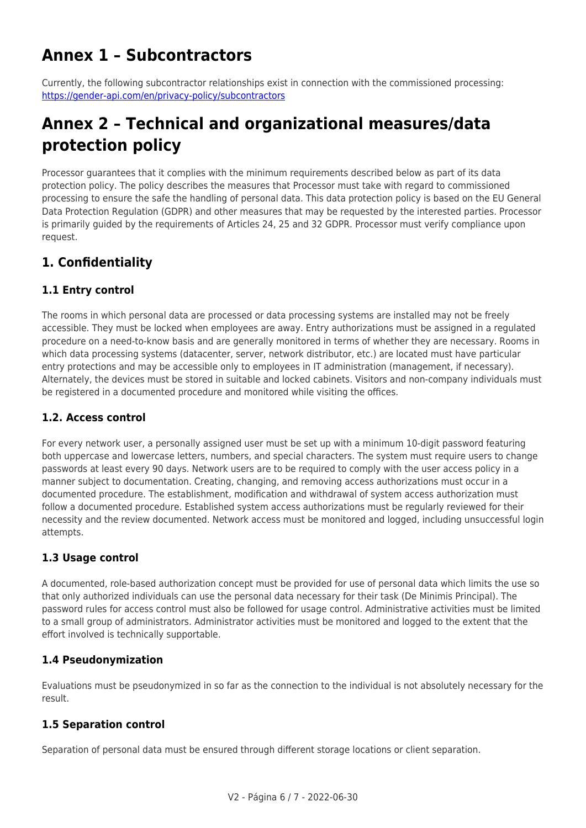### **Annex 1 – Subcontractors**

Currently, the following subcontractor relationships exist in connection with the commissioned processing: <https://gender-api.com/en/privacy-policy/subcontractors>

### **Annex 2 – Technical and organizational measures/data protection policy**

Processor guarantees that it complies with the minimum requirements described below as part of its data protection policy. The policy describes the measures that Processor must take with regard to commissioned processing to ensure the safe the handling of personal data. This data protection policy is based on the EU General Data Protection Regulation (GDPR) and other measures that may be requested by the interested parties. Processor is primarily guided by the requirements of Articles 24, 25 and 32 GDPR. Processor must verify compliance upon request.

### **1. Confidentiality**

#### **1.1 Entry control**

The rooms in which personal data are processed or data processing systems are installed may not be freely accessible. They must be locked when employees are away. Entry authorizations must be assigned in a regulated procedure on a need-to-know basis and are generally monitored in terms of whether they are necessary. Rooms in which data processing systems (datacenter, server, network distributor, etc.) are located must have particular entry protections and may be accessible only to employees in IT administration (management, if necessary). Alternately, the devices must be stored in suitable and locked cabinets. Visitors and non-company individuals must be registered in a documented procedure and monitored while visiting the offices.

#### **1.2. Access control**

For every network user, a personally assigned user must be set up with a minimum 10-digit password featuring both uppercase and lowercase letters, numbers, and special characters. The system must require users to change passwords at least every 90 days. Network users are to be required to comply with the user access policy in a manner subject to documentation. Creating, changing, and removing access authorizations must occur in a documented procedure. The establishment, modification and withdrawal of system access authorization must follow a documented procedure. Established system access authorizations must be regularly reviewed for their necessity and the review documented. Network access must be monitored and logged, including unsuccessful login attempts.

#### **1.3 Usage control**

A documented, role-based authorization concept must be provided for use of personal data which limits the use so that only authorized individuals can use the personal data necessary for their task (De Minimis Principal). The password rules for access control must also be followed for usage control. Administrative activities must be limited to a small group of administrators. Administrator activities must be monitored and logged to the extent that the effort involved is technically supportable.

#### **1.4 Pseudonymization**

Evaluations must be pseudonymized in so far as the connection to the individual is not absolutely necessary for the result.

#### **1.5 Separation control**

Separation of personal data must be ensured through different storage locations or client separation.